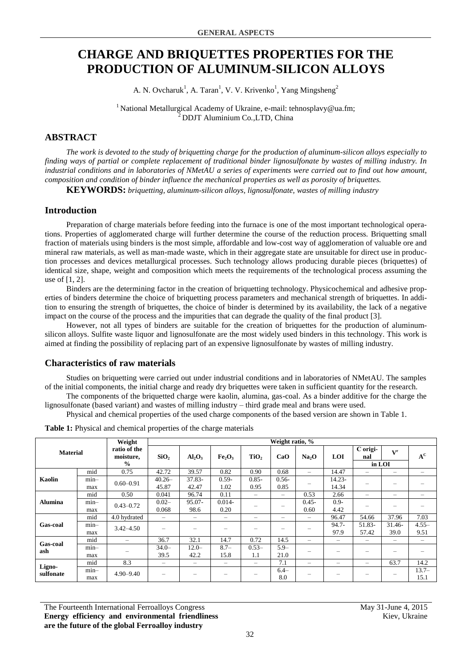# **CHARGE AND BRIQUETTES PROPERTIES FOR THE PRODUCTION OF ALUMINUM-SILICON ALLOYS**

A. N. Ovcharuk<sup>1</sup>, A. Taran<sup>1</sup>, V. V. Krivenko<sup>1</sup>, Yang Mingsheng<sup>2</sup>

<sup>1</sup> National Metallurgical Academy of Ukraine, e-mail: tehnosplavy@ua.fm; <sup>2</sup>DDJT Aluminium Co*.,*LTD, China

# **ABSTRACT**

*The work is devoted to the study of briquetting charge for the production of aluminum-silicon alloys especially to finding ways of partial or complete replacement of traditional binder lignosulfonate by wastes of milling industry. In industrial conditions and in laboratories of NMetAU a series of experiments were carried out to find out how amount, composition and condition of binder influence the mechanical properties as well as porosity of briquettes.*

**KEYWORDS:** *briquetting, aluminum-silicon alloys, lignosulfonate, wastes of milling industry*

## **Introduction**

Preparation of charge materials before feeding into the furnace is one of the most important technological operations. Properties of agglomerated charge will further determine the course of the reduction process. Briquetting small fraction of materials using binders is the most simple, affordable and low-cost way of agglomeration of valuable ore and mineral raw materials, as well as man-made waste, which in their aggregate state are unsuitable for direct use in production processes and devices metallurgical processes. Such technology allows producing durable pieces (briquettes) of identical size, shape, weight and composition which meets the requirements of the technological process assuming the use of [1, 2].

Binders are the determining factor in the creation of briquetting technology. Physicochemical and adhesive properties of binders determine the choice of briquetting process parameters and mechanical strength of briquettes. In addition to ensuring the strength of briquettes, the choice of binder is determined by its availability, the lack of a negative impact on the course of the process and the impurities that can degrade the quality of the final product [3].

However, not all types of binders are suitable for the creation of briquettes for the production of aluminumsilicon alloys. Sulfite waste liquor and lignosulfonate are the most widely used binders in this technology. This work is aimed at finding the possibility of replacing part of an expensive lignosulfonate by wastes of milling industry.

### **Characteristics of raw materials**

Studies on briquetting were carried out under industrial conditions and in laboratories of NMetAU. The samples of the initial components, the initial charge and ready dry briquettes were taken in sufficient quantity for the research.

The components of the briquetted charge were kaolin, alumina, gas-coal. As a binder additive for the charge the lignosulfonate (based variant) and wastes of milling industry – third grade meal and brans were used. Physical and chemical properties of the used charge components of the based version are shown in Table 1.

**Material Weight ratio of the moisture, % Weight ratio, % SiO<sup>2</sup> Al2O<sup>3</sup> Fe2O<sup>3</sup> TiO<sup>2</sup> CaO Na2O LOI С original <sup>V</sup> r A C in LOI Kaolin** mid 0.75 42.72 39.57 0.82 0.90 0.68 – 14.47 – – – min– max  $0.60-0.91$  40.26 45.87 37.83- 42.47 0.59- 1.02 0.85- 0.95 0.56-  $0.30 - 0.85 = -$ 14.23-  $\begin{array}{|c|c|c|c|c|c|c|c|} \hline 14.34 & - & - & - & - \ \hline \end{array}$ **Alumina** mid | 0.50 | 0.041 | 96.74 | 0.11 | – | – | 0.53 | 2.66 | – | – | – min– max  $0.43 - 0.72$  0.02– 0.068 05.07-98.6 0.014-  $\begin{array}{c|c} 0.014-0.20 \end{array}$  –  $\begin{array}{|c|c|c|c|c|} \end{array}$  – 0.45- 0.60  $\frac{0.9}{4.42}$  $4.42$  – – – **Gas-coal** mid 4.0 hydrated – – – – – – 96.47 54.66 37.96 7.03 min– max  $3.42-4.50$  – – – – – – – – – – – 94.7- 97.9 51.83- 57.42 31.46- 39.0 4.55– 9.51 **Gas-coal ash** mid – 36.7 32.1 14.7 0.72 14.5 – – – – – min– max –  $34.0-$ 39.5  $12.0-$ 42.2 8.7– 15.8  $0.53-$ 1.1  $\frac{5.9-}{21.0}$  $21.0$  – – – – – – – **Lignosulfonate** mid 8.3 – – – – 7.1 – – – 63.7 14.2 min– max  $4.90 - 9.40$  – – 6.4–  $8.0$  – – – – –  $13.7–$ 15.1

**Table 1:** Physical and chemical properties of the charge materials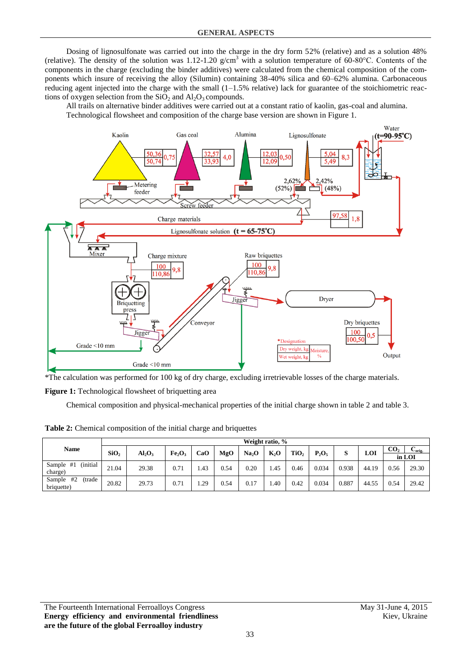Dosing of lignosulfonate was carried out into the charge in the dry form 52% (relative) and as a solution 48% (relative). The density of the solution was 1.12-1.20  $g/cm<sup>3</sup>$  with a solution temperature of 60-80°C. Contents of the components in the charge (excluding the binder additives) were calculated from the chemical composition of the components which insure of receiving the alloy (Silumin) containing 38-40% silica and 60–62% alumina. Carbonaceous reducing agent injected into the charge with the small (1–1.5% relative) lack for guarantee of the stoichiometric reactions of oxygen selection from the  $SiO<sub>2</sub>$  and  $Al<sub>2</sub>O<sub>3</sub>$  compounds.

All trails on alternative binder additives were carried out at a constant ratio of kaolin, gas-coal and alumina. Technological flowsheet and composition of the charge base version are shown in Figure 1.



\*The calculation was performed for 100 kg of dry charge, excluding irretrievable losses of the charge materials.

Figure 1: Technological flowsheet of briquetting area

Chemical composition and physical-mechanical properties of the initial charge shown in table 2 and table 3.

**Table 2:** Chemical composition of the initial charge and briquettes

|                                      |                  | Weight ratio, % |                                |     |      |                   |        |                  |          |       |       |                 |                    |  |  |
|--------------------------------------|------------------|-----------------|--------------------------------|-----|------|-------------------|--------|------------------|----------|-------|-------|-----------------|--------------------|--|--|
| <b>Name</b>                          | SiO <sub>2</sub> | $Al_2O_3$       | Fe <sub>2</sub> O <sub>3</sub> | CaO | MgO  | Na <sub>2</sub> O | $K_2O$ | TiO <sub>2</sub> | $P_2O_5$ | S     | LOI   | CO <sub>2</sub> | $\mathbf{C}$ orig. |  |  |
|                                      |                  |                 |                                |     |      |                   |        |                  |          |       |       |                 | in LOI             |  |  |
| (initial<br>Sample #1<br>charge)     | 21.04            | 29.38           | 0.71                           | .43 | 0.54 | 0.20              | .45    | 0.46             | 0.034    | 0.938 | 44.19 | 0.56            | 29.30              |  |  |
| #2<br>Sample<br>(trade<br>briquette) | 20.82            | 29.73           | 0.71                           | .29 | 0.54 | 0.17              | .40    | 0.42             | 0.034    | 0.887 | 44.55 | 0.54            | 29.42              |  |  |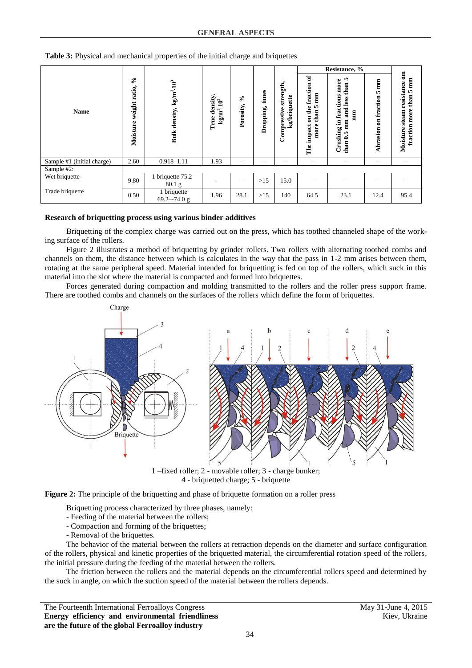**Table 3:** Physical and mechanical properties of the initial charge and briquettes

|                            |                                                                                     |                                      |                                                        |                 |                    |                                          |                                                                     | Resistance, %                                                                                             |                                   |                                                                                        |
|----------------------------|-------------------------------------------------------------------------------------|--------------------------------------|--------------------------------------------------------|-----------------|--------------------|------------------------------------------|---------------------------------------------------------------------|-----------------------------------------------------------------------------------------------------------|-----------------------------------|----------------------------------------------------------------------------------------|
| <b>Name</b>                | వి<br>Bulk density, kg/m <sup>3</sup> .10 <sup>3</sup><br>weight ratio,<br>Moisture |                                      | density,<br>kg/m <sup>3</sup> :10 <sup>3</sup><br>True | ని<br>Porosity, | times<br>Dropping, | strength,<br>kg/briquette<br>Compressive | ್<br>fraction<br>mm<br>m<br>on the<br>than<br>impact<br>more<br>The | In.<br>more<br>than<br>fractions<br>less<br><b>Fand</b><br>mm<br>mm<br>.≡<br>Crushing<br>ın,<br>خ<br>than | mm<br>in,<br>fraction<br>Abrasion | $\overline{a}$<br>mm<br>resistance<br>S.<br>than<br>fraction more<br>steam<br>Moisture |
| Sample #1 (initial charge) | 2.60                                                                                | $0.918 - 1.11$                       | 1.93                                                   | -               | -                  | -                                        | -                                                                   | -                                                                                                         | -                                 | $\overline{\phantom{m}}$                                                               |
| Sample #2:                 |                                                                                     |                                      |                                                        |                 |                    |                                          |                                                                     |                                                                                                           |                                   |                                                                                        |
| Wet briquette              | 9.80                                                                                | 1 briquette 75.2-<br>$80.1\text{ g}$ |                                                        | -               | $>15$              | 15.0                                     | -                                                                   |                                                                                                           |                                   |                                                                                        |
| Trade briquette            | 0.50                                                                                | 1 briquette<br>$69.2 - 74.0$ g       | 1.96                                                   | 28.1            | $>15$              | 140                                      | 64.5                                                                | 23.1                                                                                                      | 12.4                              | 95.4                                                                                   |

#### **Research of briquetting process using various binder additives**

Briquetting of the complex charge was carried out on the press, which has toothed channeled shape of the working surface of the rollers.

Figure 2 illustrates a method of briquetting by grinder rollers. Two rollers with alternating toothed combs and channels on them, the distance between which is calculates in the way that the pass in 1-2 mm arises between them, rotating at the same peripheral speed. Material intended for briquetting is fed on top of the rollers, which suck in this material into the slot where the material is compacted and formed into briquettes.

Forces generated during compaction and molding transmitted to the rollers and the roller press support frame. There are toothed combs and channels on the surfaces of the rollers which define the form of briquettes.



1 –fixed roller; 2 - movable roller; 3 - charge bunker; 4 - briquetted charge; 5 - briquette

**Figure 2:** The principle of the briquetting and phase of briquette formation on a roller press

Briquetting process characterized by three phases, namely:

- Feeding of the material between the rollers;
- Compaction and forming of the briquettes;
- Removal of the briquettes.

The behavior of the material between the rollers at retraction depends on the diameter and surface configuration of the rollers, physical and kinetic properties of the briquetted material, the circumferential rotation speed of the rollers, the initial pressure during the feeding of the material between the rollers.

The friction between the rollers and the material depends on the circumferential rollers speed and determined by the suck in angle, on which the suction speed of the material between the rollers depends.

The Fourteenth International Ferroalloys Congress May 31-June 4, 2015 **Energy efficiency and environmental friendliness are the future of the global Ferroalloy industry**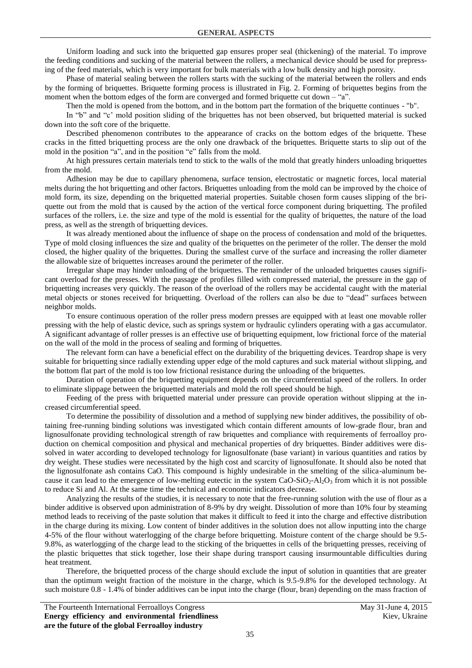Uniform loading and suck into the briquetted gap ensures proper seal (thickening) of the material. To improve the feeding conditions and sucking of the material between the rollers, a mechanical device should be used for prepressing of the feed materials, which is very important for bulk materials with a low bulk density and high porosity.

Phase of material sealing between the rollers starts with the sucking of the material between the rollers and ends by the forming of briquettes. Briquette forming process is illustrated in Fig. 2. Forming of briquettes begins from the moment when the bottom edges of the form are converged and formed briquette cut down  $-$  "a".

Then the mold is opened from the bottom, and in the bottom part the formation of the briquette continues - "b".

In "b" and "c' mold position sliding of the briquettes has not been observed, but briquetted material is sucked down into the soft core of the briquette.

Described phenomenon contributes to the appearance of cracks on the bottom edges of the briquette. These cracks in the fitted briquetting process are the only one drawback of the briquettes. Briquette starts to slip out of the mold in the position "a", and in the position "e" falls from the mold.

At high pressures certain materials tend to stick to the walls of the mold that greatly hinders unloading briquettes from the mold.

Adhesion may be due to capillary phenomena, surface tension, electrostatic or magnetic forces, local material melts during the hot briquetting and other factors. Briquettes unloading from the mold can be improved by the choice of mold form, its size, depending on the briquetted material properties. Suitable chosen form causes slipping of the briquette out from the mold that is caused by the action of the vertical force component during briquetting. The profiled surfaces of the rollers, i.e. the size and type of the mold is essential for the quality of briquettes, the nature of the load press, as well as the strength of briquetting devices.

It was already mentioned about the influence of shape on the process of condensation and mold of the briquettes. Type of mold closing influences the size and quality of the briquettes on the perimeter of the roller. The denser the mold closed, the higher quality of the briquettes. During the smallest curve of the surface and increasing the roller diameter the allowable size of briquettes increases around the perimeter of the roller.

Irregular shape may hinder unloading of the briquettes. The remainder of the unloaded briquettes causes significant overload for the presses. With the passage of profiles filled with compressed material, the pressure in the gap of briquetting increases very quickly. The reason of the overload of the rollers may be accidental caught with the material metal objects or stones received for briquetting. Overload of the rollers can also be due to "dead" surfaces between neighbor molds.

To ensure continuous operation of the roller press modern presses are equipped with at least one movable roller pressing with the help of elastic device, such as springs system or hydraulic cylinders operating with a gas accumulator. A significant advantage of roller presses is an effective use of briquetting equipment, low frictional force of the material on the wall of the mold in the process of sealing and forming of briquettes.

The relevant form can have a beneficial effect on the durability of the briquetting devices. Teardrop shape is very suitable for briquetting since radially extending upper edge of the mold captures and suck material without slipping, and the bottom flat part of the mold is too low frictional resistance during the unloading of the briquettes.

Duration of operation of the briquetting equipment depends on the circumferential speed of the rollers. In order to eliminate slippage between the briquetted materials and mold the roll speed should be high.

Feeding of the press with briquetted material under pressure can provide operation without slipping at the increased circumferential speed.

To determine the possibility of dissolution and a method of supplying new binder additives, the possibility of obtaining free-running binding solutions was investigated which contain different amounts of low-grade flour, bran and lignosulfonate providing technological strength of raw briquettes and compliance with requirements of ferroalloy production on chemical composition and physical and mechanical properties of dry briquettes. Binder additives were dissolved in water according to developed technology for lignosulfonate (base variant) in various quantities and ratios by dry weight. These studies were necessitated by the high cost and scarcity of lignosulfonate. It should also be noted that the lignosulfonate ash contains CaO. This compound is highly undesirable in the smelting of the silica-aluminum because it can lead to the emergence of low-melting eutectic in the system CaO-SiO<sub>2</sub>-Al<sub>2</sub>O<sub>3</sub> from which it is not possible to reduce Si and Al. At the same time the technical and economic indicators decrease.

Analyzing the results of the studies, it is necessary to note that the free-running solution with the use of flour as a binder additive is observed upon administration of 8-9% by dry weight. Dissolution of more than 10% four by steaming method leads to receiving of the paste solution that makes it difficult to feed it into the charge and effective distribution in the charge during its mixing. Low content of binder additives in the solution does not allow inputting into the charge 4-5% of the flour without waterlogging of the charge before briquetting. Moisture content of the charge should be 9.5- 9.8%, as waterlogging of the charge lead to the sticking of the briquettes in cells of the briquetting presses, receiving of the plastic briquettes that stick together, lose their shape during transport causing insurmountable difficulties during heat treatment.

Therefore, the briquetted process of the charge should exclude the input of solution in quantities that are greater than the optimum weight fraction of the moisture in the charge, which is 9.5-9.8% for the developed technology. At such moisture 0.8 - 1.4% of binder additives can be input into the charge (flour, bran) depending on the mass fraction of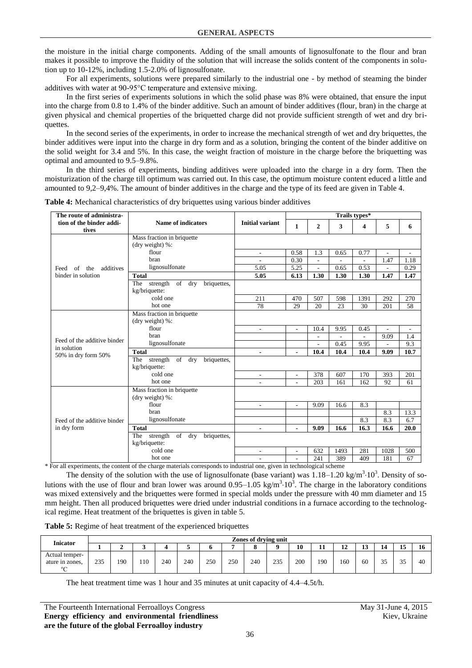the moisture in the initial charge components. Adding of the small amounts of lignosulfonate to the flour and bran makes it possible to improve the fluidity of the solution that will increase the solids content of the components in solution up to 10-12%, including 1.5-2.0% of lignosulfonate.

For all experiments, solutions were prepared similarly to the industrial one - by method of steaming the binder additives with water at 90-95°C temperature and extensive mixing.

In the first series of experiments solutions in which the solid phase was 8% were obtained, that ensure the input into the charge from 0.8 to 1.4% of the binder additive. Such an amount of binder additives (flour, bran) in the charge at given physical and chemical properties of the briquetted charge did not provide sufficient strength of wet and dry briquettes.

In the second series of the experiments, in order to increase the mechanical strength of wet and dry briquettes, the binder additives were input into the charge in dry form and as a solution, bringing the content of the binder additive on the solid weight for 3.4 and 5%. In this case, the weight fraction of moisture in the charge before the briquetting was optimal and amounted to 9.5–9.8%.

In the third series of experiments, binding additives were uploaded into the charge in a dry form. Then the moisturization of the charge till optimum was carried out. In this case, the optimum moisture content educed a little and amounted to 9,2–9,4%. The amount of binder additives in the charge and the type of its feed are given in Table 4.

| The route of administra-          |                                                           |                          |                          |                          |      | Trails types* |                          |                          |
|-----------------------------------|-----------------------------------------------------------|--------------------------|--------------------------|--------------------------|------|---------------|--------------------------|--------------------------|
| tion of the binder addi-<br>tives | <b>Name of indicators</b>                                 | <b>Initial variant</b>   | 1                        | $\overline{2}$           | 3    | 4             | 5                        | 6                        |
|                                   | Mass fraction in briquette<br>(dry weight) %:             |                          |                          |                          |      |               |                          |                          |
|                                   | flour                                                     | $\overline{\phantom{a}}$ | 0.58                     | 1.3                      | 0.65 | 0.77          | $\blacksquare$           | $\overline{\phantom{a}}$ |
|                                   | bran                                                      | $\overline{a}$           | 0.30                     | $\overline{a}$           |      | L,            | 1.47                     | 1.18                     |
| additives<br>of<br>the<br>Feed    | lignosulfonate                                            | 5.05                     | 5.25                     | $\overline{a}$           | 0.65 | 0.53          | ٠                        | 0.29                     |
| binder in solution                | <b>Total</b>                                              | 5.05                     | 6.13                     | 1.30                     | 1.30 | 1.30          | 1.47                     | 1.47                     |
|                                   | strength of dry<br>The<br>briquettes,<br>kg/briquette:    |                          |                          |                          |      |               |                          |                          |
|                                   | cold one                                                  | 211                      | 470                      | 507                      | 598  | 1391          | 292                      | 270                      |
|                                   | hot one                                                   | 78                       | 29                       | 20                       | 23   | 30            | 201                      | 58                       |
|                                   | Mass fraction in briquette<br>(dry weight) %:             |                          |                          |                          |      |               |                          |                          |
|                                   | flour                                                     | $\overline{a}$           | ÷.                       | 10.4                     | 9.95 | 0.45          | $\overline{a}$           | ÷,                       |
| Feed of the additive binder       | <b>bran</b>                                               |                          |                          |                          |      |               | 9.09                     | 1.4                      |
| in solution                       | lignosulfonate                                            |                          |                          | $\overline{\phantom{a}}$ | 0.45 | 9.95          | $\overline{\phantom{0}}$ | 9.3                      |
| 50% in dry form 50%               | <b>Total</b>                                              | $\blacksquare$           | $\blacksquare$           | 10.4                     | 10.4 | 10.4          | 9.09                     | 10.7                     |
|                                   | strength of dry<br>briquettes,<br>The<br>kg/briquette:    |                          |                          |                          |      |               |                          |                          |
|                                   | cold one                                                  | $\overline{\phantom{a}}$ | $\overline{\phantom{a}}$ | 378                      | 607  | 170           | 393                      | 201                      |
|                                   | hot one                                                   | ÷,                       |                          | 203                      | 161  | 162           | 92                       | 61                       |
|                                   | Mass fraction in briquette<br>(dry weight) $%$ :          |                          |                          |                          |      |               |                          |                          |
|                                   | flour                                                     | $\overline{\phantom{a}}$ | $\overline{\phantom{0}}$ | 9.09                     | 16.6 | 8.3           |                          |                          |
|                                   | bran                                                      |                          |                          |                          |      |               | 8.3                      | 13.3                     |
| Feed of the additive binder       | lignosulfonate                                            |                          |                          |                          |      | 8.3           | 8.3                      | 6.7                      |
| in dry form                       | <b>Total</b>                                              | $\blacksquare$           | Ξ.                       | 9.09                     | 16.6 | 16.3          | 16.6                     | 20.0                     |
|                                   | strength of<br>The<br>dry<br>briquettes,<br>kg/briquette: |                          |                          |                          |      |               |                          |                          |
|                                   | cold one                                                  | ٠                        | ÷.                       | 632                      | 1493 | 281           | 1028                     | 500                      |
|                                   | hot one                                                   | $\overline{\phantom{a}}$ |                          | 241                      | 389  | 409           | 181                      | 67                       |

**Table 4:** Mechanical characteristics of dry briquettes using various binder additives

\* For all experiments, the content of the charge materials corresponds to industrial one, given in technological scheme

The density of the solution with the use of lignosulfonate (base variant) was  $1.18-1.20 \text{ kg/m}^3 \cdot 10^3$ . Density of solutions with the use of flour and bran lower was around  $0.95-1.05 \text{ kg/m}^3 \cdot 10^3$ . The charge in the laboratory conditions was mixed extensively and the briquettes were formed in special molds under the pressure with 40 mm diameter and 15 mm height. Then all produced briquettes were dried under industrial conditions in a furnace according to the technological regime. Heat treatment of the briquettes is given in table 5.

| Table 5: Regime of heat treatment of the experienced briquettes |  |  |  |
|-----------------------------------------------------------------|--|--|--|
|-----------------------------------------------------------------|--|--|--|

| <b>Inicator</b>                                |     | Zones of drying unit |     |     |     |     |     |     |          |     |     |          |         |                      |             |    |
|------------------------------------------------|-----|----------------------|-----|-----|-----|-----|-----|-----|----------|-----|-----|----------|---------|----------------------|-------------|----|
|                                                |     |                      |     |     |     |     |     |     | $\Omega$ | 10  |     | ı٨<br>14 | 2<br>1J |                      | 15          | 10 |
| Actual temper-<br>ature in zones,<br>$0\sigma$ | 235 | 190                  | 110 | 240 | 240 | 250 | 250 | 240 | 235      | 200 | 190 | -60      | 60      | $\sim$ $\sim$<br>ر ر | $\sim$<br>ັ | 40 |

The heat treatment time was 1 hour and 35 minutes at unit capacity of 4.4–4.5t/h.

| The Fourteenth International Ferroalloys Congress |  |  |                                                  |  |  |  |  |  |  |  |  |
|---------------------------------------------------|--|--|--------------------------------------------------|--|--|--|--|--|--|--|--|
|                                                   |  |  | Energy efficiency and environmental friendliness |  |  |  |  |  |  |  |  |
| are the future of the global Ferroalloy industry  |  |  |                                                  |  |  |  |  |  |  |  |  |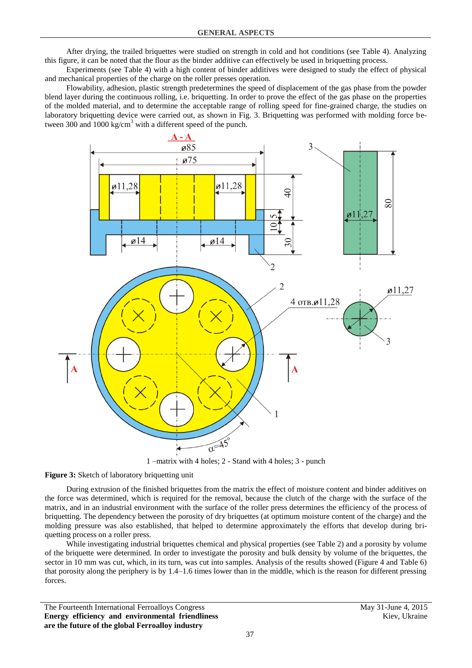After drying, the trailed briquettes were studied on strength in cold and hot conditions (see Table 4). Analyzing this figure, it can be noted that the flour as the binder additive can effectively be used in briquetting process.

Experiments (see Table 4) with a high content of binder additives were designed to study the effect of physical and mechanical properties of the charge on the roller presses operation.

Flowability, adhesion, plastic strength predetermines the speed of displacement of the gas phase from the powder blend layer during the continuous rolling, i.e. briquetting. In order to prove the effect of the gas phase on the properties of the molded material, and to determine the acceptable range of rolling speed for fine-grained charge, the studies on laboratory briquetting device were carried out, as shown in Fig. 3. Briquetting was performed with molding force between 300 and 1000 kg/cm<sup>3</sup> with a different speed of the punch.



1 –matrix with 4 holes; 2 - Stand with 4 holes; 3 - punch

**Figure 3:** Sketch of laboratory briquetting unit

During extrusion of the finished briquettes from the matrix the effect of moisture content and binder additives on the force was determined, which is required for the removal, because the clutch of the charge with the surface of the matrix, and in an industrial environment with the surface of the roller press determines the efficiency of the process of briquetting. The dependency between the porosity of dry briquettes (at optimum moisture content of the charge) and the molding pressure was also established, that helped to determine approximately the efforts that develop during briquetting process on a roller press.

While investigating industrial briquettes chemical and physical properties (see Table 2) and a porosity by volume of the briquette were determined. In order to investigate the porosity and bulk density by volume of the briquettes, the sector in 10 mm was cut, which, in its turn, was cut into samples. Analysis of the results showed (Figure 4 and Table 6) that porosity along the periphery is by 1.4–1.6 times lower than in the middle, which is the reason for different pressing forces.

The Fourteenth International Ferroalloys Congress May 31-June 4, 2015 **Energy efficiency and environmental friendliness are the future of the global Ferroalloy industry**